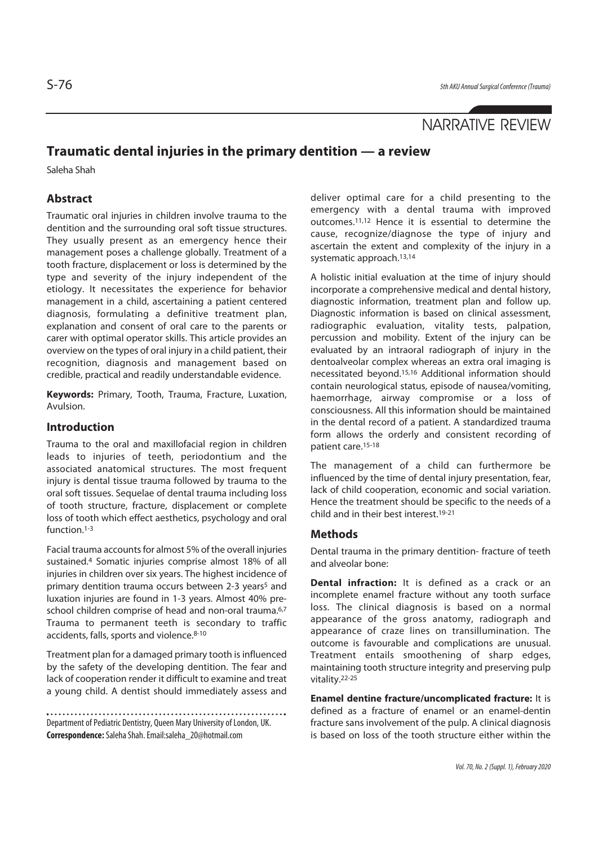# NARRATIVE REVIEW

# **Traumatic dental injuries in the primary dentition — a review**

Saleha Shah

## **Abstract**

Traumatic oral injuries in children involve trauma to the dentition and the surrounding oral soft tissue structures. They usually present as an emergency hence their management poses a challenge globally. Treatment of a tooth fracture, displacement or loss is determined by the type and severity of the injury independent of the etiology. It necessitates the experience for behavior management in a child, ascertaining a patient centered diagnosis, formulating a definitive treatment plan, explanation and consent of oral care to the parents or carer with optimal operator skills. This article provides an overview on the types of oral injury in a child patient, their recognition, diagnosis and management based on credible, practical and readily understandable evidence.

**Keywords:** Primary, Tooth, Trauma, Fracture, Luxation, Avulsion.

## **Introduction**

Trauma to the oral and maxillofacial region in children leads to injuries of teeth, periodontium and the associated anatomical structures. The most frequent injury is dental tissue trauma followed by trauma to the oral soft tissues. Sequelae of dental trauma including loss of tooth structure, fracture, displacement or complete loss of tooth which effect aesthetics, psychology and oral function.1-3

Facial trauma accounts for almost 5% of the overall injuries sustained.4 Somatic injuries comprise almost 18% of all injuries in children over six years. The highest incidence of primary dentition trauma occurs between 2-3 years<sup>5</sup> and luxation injuries are found in 1-3 years. Almost 40% preschool children comprise of head and non-oral trauma.<sup>6,7</sup> Trauma to permanent teeth is secondary to traffic accidents, falls, sports and violence.<sup>8-10</sup>

Treatment plan for a damaged primary tooth is influenced by the safety of the developing dentition. The fear and lack of cooperation render it difficult to examine and treat a young child. A dentist should immediately assess and

Department of Pediatric Dentistry, Queen Mary University of London, UK. **Correspondence:** Saleha Shah. Email:saleha\_20@hotmail.com

deliver optimal care for a child presenting to the emergency with a dental trauma with improved outcomes.11,12 Hence it is essential to determine the cause, recognize/diagnose the type of injury and ascertain the extent and complexity of the injury in a systematic approach.13,14

A holistic initial evaluation at the time of injury should incorporate a comprehensive medical and dental history, diagnostic information, treatment plan and follow up. Diagnostic information is based on clinical assessment, radiographic evaluation, vitality tests, palpation, percussion and mobility. Extent of the injury can be evaluated by an intraoral radiograph of injury in the dentoalveolar complex whereas an extra oral imaging is necessitated beyond.15,16 Additional information should contain neurological status, episode of nausea/vomiting, haemorrhage, airway compromise or a loss of consciousness. All this information should be maintained in the dental record of a patient. A standardized trauma form allows the orderly and consistent recording of patient care.15-18

The management of a child can furthermore be influenced by the time of dental injury presentation, fear, lack of child cooperation, economic and social variation. Hence the treatment should be specific to the needs of a child and in their best interest 19-21

#### **Methods**

Dental trauma in the primary dentition- fracture of teeth and alveolar bone:

**Dental infraction:** It is defined as a crack or an incomplete enamel fracture without any tooth surface loss. The clinical diagnosis is based on a normal appearance of the gross anatomy, radiograph and appearance of craze lines on transillumination. The outcome is favourable and complications are unusual. Treatment entails smoothening of sharp edges, maintaining tooth structure integrity and preserving pulp vitality.22-25

**Enamel dentine fracture/uncomplicated fracture:** It is defined as a fracture of enamel or an enamel-dentin fracture sans involvement of the pulp. A clinical diagnosis is based on loss of the tooth structure either within the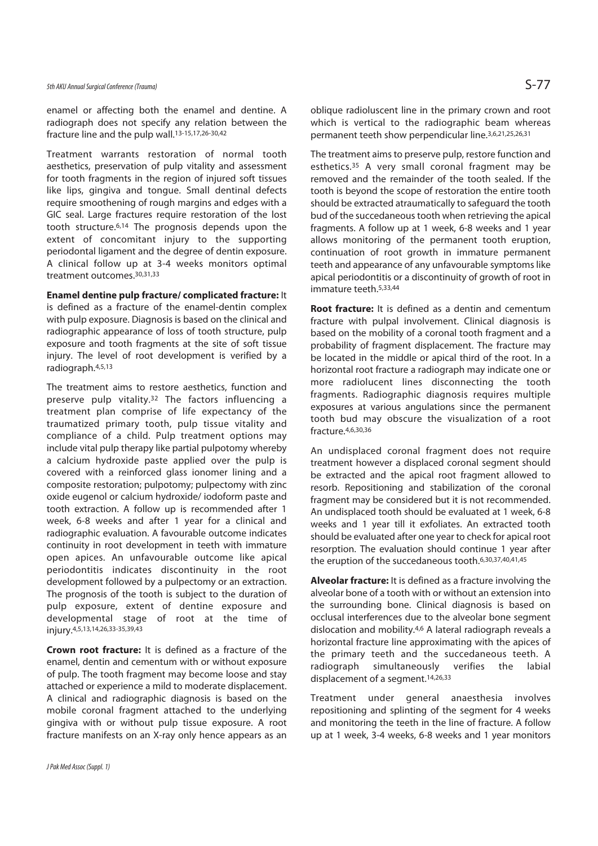enamel or affecting both the enamel and dentine. A radiograph does not specify any relation between the fracture line and the pulp wall.13-15,17,26-30,42

Treatment warrants restoration of normal tooth aesthetics, preservation of pulp vitality and assessment for tooth fragments in the region of injured soft tissues like lips, gingiva and tongue. Small dentinal defects require smoothening of rough margins and edges with a GIC seal. Large fractures require restoration of the lost tooth structure.6,14 The prognosis depends upon the extent of concomitant injury to the supporting periodontal ligament and the degree of dentin exposure. A clinical follow up at 3-4 weeks monitors optimal treatment outcomes.30,31,33

#### **Enamel dentine pulp fracture/ complicated fracture:** It

is defined as a fracture of the enamel-dentin complex with pulp exposure. Diagnosis is based on the clinical and radiographic appearance of loss of tooth structure, pulp exposure and tooth fragments at the site of soft tissue injury. The level of root development is verified by a radiograph.4,5,13

The treatment aims to restore aesthetics, function and preserve pulp vitality.32 The factors influencing a treatment plan comprise of life expectancy of the traumatized primary tooth, pulp tissue vitality and compliance of a child. Pulp treatment options may include vital pulp therapy like partial pulpotomy whereby a calcium hydroxide paste applied over the pulp is covered with a reinforced glass ionomer lining and a composite restoration; pulpotomy; pulpectomy with zinc oxide eugenol or calcium hydroxide/ iodoform paste and tooth extraction. A follow up is recommended after 1 week, 6-8 weeks and after 1 year for a clinical and radiographic evaluation. A favourable outcome indicates continuity in root development in teeth with immature open apices. An unfavourable outcome like apical periodontitis indicates discontinuity in the root development followed by a pulpectomy or an extraction. The prognosis of the tooth is subject to the duration of pulp exposure, extent of dentine exposure and developmental stage of root at the time of injury.4,5,13,14,26,33-35,39,43

**Crown root fracture:** It is defined as a fracture of the enamel, dentin and cementum with or without exposure of pulp. The tooth fragment may become loose and stay attached or experience a mild to moderate displacement. A clinical and radiographic diagnosis is based on the mobile coronal fragment attached to the underlying gingiva with or without pulp tissue exposure. A root fracture manifests on an X-ray only hence appears as an

J Pak Med Assoc (Suppl. 1)

oblique radioluscent line in the primary crown and root which is vertical to the radiographic beam whereas permanent teeth show perpendicular line.3,6,21,25,26,31

The treatment aims to preserve pulp, restore function and esthetics.<sup>35</sup> A very small coronal fragment may be removed and the remainder of the tooth sealed. If the tooth is beyond the scope of restoration the entire tooth should be extracted atraumatically to safeguard the tooth bud of the succedaneous tooth when retrieving the apical fragments. A follow up at 1 week, 6-8 weeks and 1 year allows monitoring of the permanent tooth eruption, continuation of root growth in immature permanent teeth and appearance of any unfavourable symptoms like apical periodontitis or a discontinuity of growth of root in immature teeth.5,33,44

**Root fracture:** It is defined as a dentin and cementum fracture with pulpal involvement. Clinical diagnosis is based on the mobility of a coronal tooth fragment and a probability of fragment displacement. The fracture may be located in the middle or apical third of the root. In a horizontal root fracture a radiograph may indicate one or more radiolucent lines disconnecting the tooth fragments. Radiographic diagnosis requires multiple exposures at various angulations since the permanent tooth bud may obscure the visualization of a root fracture.4,6,30,36

An undisplaced coronal fragment does not require treatment however a displaced coronal segment should be extracted and the apical root fragment allowed to resorb. Repositioning and stabilization of the coronal fragment may be considered but it is not recommended. An undisplaced tooth should be evaluated at 1 week, 6-8 weeks and 1 year till it exfoliates. An extracted tooth should be evaluated after one year to check for apical root resorption. The evaluation should continue 1 year after the eruption of the succedaneous tooth.6,30,37,40,41,45

**Alveolar fracture:** It is defined as a fracture involving the alveolar bone of a tooth with or without an extension into the surrounding bone. Clinical diagnosis is based on occlusal interferences due to the alveolar bone segment dislocation and mobility.4,6 A lateral radiograph reveals a horizontal fracture line approximating with the apices of the primary teeth and the succedaneous teeth. A radiograph simultaneously verifies the labial displacement of a segment.14,26,33

Treatment under general anaesthesia involves repositioning and splinting of the segment for 4 weeks and monitoring the teeth in the line of fracture. A follow up at 1 week, 3-4 weeks, 6-8 weeks and 1 year monitors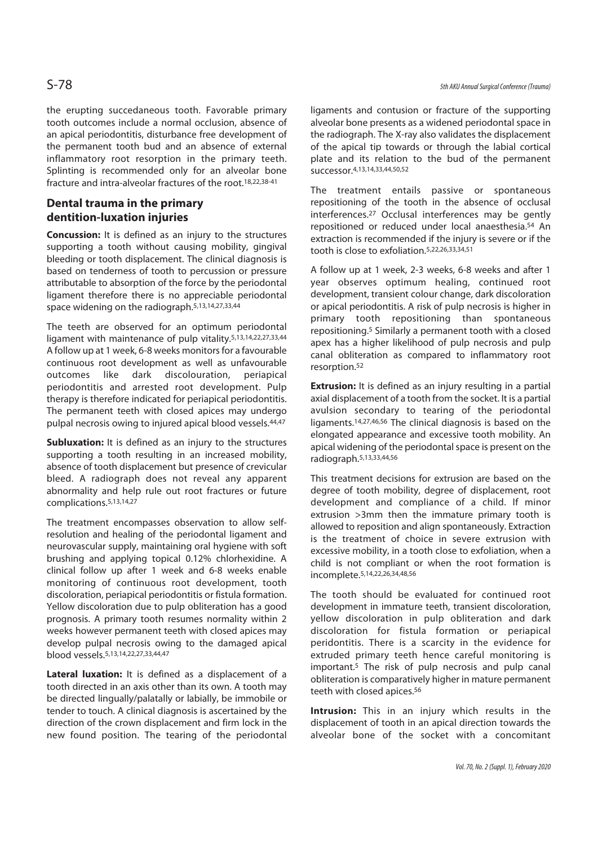the erupting succedaneous tooth. Favorable primary tooth outcomes include a normal occlusion, absence of an apical periodontitis, disturbance free development of the permanent tooth bud and an absence of external inflammatory root resorption in the primary teeth. Splinting is recommended only for an alveolar bone fracture and intra-alveolar fractures of the root.18,22,38-41

# **Dental trauma in the primary dentition-luxation injuries**

**Concussion:** It is defined as an injury to the structures supporting a tooth without causing mobility, gingival bleeding or tooth displacement. The clinical diagnosis is based on tenderness of tooth to percussion or pressure attributable to absorption of the force by the periodontal ligament therefore there is no appreciable periodontal space widening on the radiograph.5,13,14,27,33,44

The teeth are observed for an optimum periodontal ligament with maintenance of pulp vitality.5,13,14,22,27,33,44 A follow up at 1 week, 6-8 weeks monitors for a favourable continuous root development as well as unfavourable outcomes like dark discolouration, periapical periodontitis and arrested root development. Pulp therapy is therefore indicated for periapical periodontitis. The permanent teeth with closed apices may undergo pulpal necrosis owing to injured apical blood vessels.<sup>44,47</sup>

**Subluxation:** It is defined as an injury to the structures supporting a tooth resulting in an increased mobility, absence of tooth displacement but presence of crevicular bleed. A radiograph does not reveal any apparent abnormality and help rule out root fractures or future complications.5,13,14,27

The treatment encompasses observation to allow selfresolution and healing of the periodontal ligament and neurovascular supply, maintaining oral hygiene with soft brushing and applying topical 0.12% chlorhexidine. A clinical follow up after 1 week and 6-8 weeks enable monitoring of continuous root development, tooth discoloration, periapical periodontitis or fistula formation. Yellow discoloration due to pulp obliteration has a good prognosis. A primary tooth resumes normality within 2 weeks however permanent teeth with closed apices may develop pulpal necrosis owing to the damaged apical blood vessels.5,13,14,22,27,33,44,47

**Lateral luxation:** It is defined as a displacement of a tooth directed in an axis other than its own. A tooth may be directed lingually/palatally or labially, be immobile or tender to touch. A clinical diagnosis is ascertained by the direction of the crown displacement and firm lock in the new found position. The tearing of the periodontal ligaments and contusion or fracture of the supporting alveolar bone presents as a widened periodontal space in the radiograph. The X-ray also validates the displacement of the apical tip towards or through the labial cortical plate and its relation to the bud of the permanent successor.4,13,14,33,44,50,52

The treatment entails passive or spontaneous repositioning of the tooth in the absence of occlusal interferences.27 Occlusal interferences may be gently repositioned or reduced under local anaesthesia.54 An extraction is recommended if the injury is severe or if the tooth is close to exfoliation.5,22,26,33,34,51

A follow up at 1 week, 2-3 weeks, 6-8 weeks and after 1 year observes optimum healing, continued root development, transient colour change, dark discoloration or apical periodontitis. A risk of pulp necrosis is higher in primary tooth repositioning than spontaneous repositioning.5 Similarly a permanent tooth with a closed apex has a higher likelihood of pulp necrosis and pulp canal obliteration as compared to inflammatory root resorption.52

**Extrusion:** It is defined as an injury resulting in a partial axial displacement of a tooth from the socket. It is a partial avulsion secondary to tearing of the periodontal ligaments.14,27,46,56 The clinical diagnosis is based on the elongated appearance and excessive tooth mobility. An apical widening of the periodontal space is present on the radiograph.5,13,33,44,56

This treatment decisions for extrusion are based on the degree of tooth mobility, degree of displacement, root development and compliance of a child. If minor extrusion >3mm then the immature primary tooth is allowed to reposition and align spontaneously. Extraction is the treatment of choice in severe extrusion with excessive mobility, in a tooth close to exfoliation, when a child is not compliant or when the root formation is incomplete.5,14,22,26,34,48,56

The tooth should be evaluated for continued root development in immature teeth, transient discoloration, yellow discoloration in pulp obliteration and dark discoloration for fistula formation or periapical peridontitis. There is a scarcity in the evidence for extruded primary teeth hence careful monitoring is important.5 The risk of pulp necrosis and pulp canal obliteration is comparatively higher in mature permanent teeth with closed apices.<sup>56</sup>

**Intrusion:** This in an injury which results in the displacement of tooth in an apical direction towards the alveolar bone of the socket with a concomitant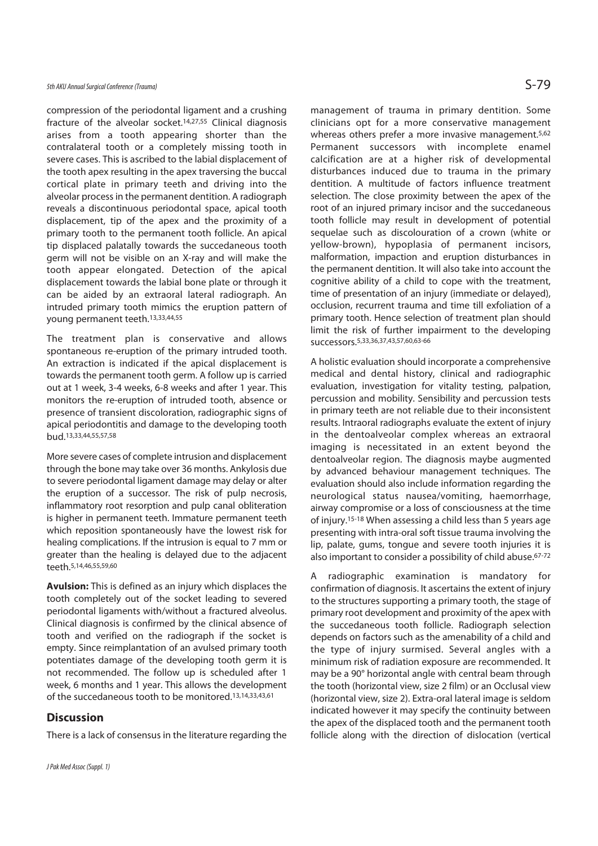## 5th AKU Annual Surgical Conference (Trauma)  $S$ -79

compression of the periodontal ligament and a crushing fracture of the alveolar socket.14,27,55 Clinical diagnosis arises from a tooth appearing shorter than the contralateral tooth or a completely missing tooth in severe cases. This is ascribed to the labial displacement of the tooth apex resulting in the apex traversing the buccal cortical plate in primary teeth and driving into the alveolar process in the permanent dentition. A radiograph reveals a discontinuous periodontal space, apical tooth displacement, tip of the apex and the proximity of a primary tooth to the permanent tooth follicle. An apical tip displaced palatally towards the succedaneous tooth germ will not be visible on an X-ray and will make the tooth appear elongated. Detection of the apical displacement towards the labial bone plate or through it can be aided by an extraoral lateral radiograph. An intruded primary tooth mimics the eruption pattern of young permanent teeth.13,33,44,55

The treatment plan is conservative and allows spontaneous re-eruption of the primary intruded tooth. An extraction is indicated if the apical displacement is towards the permanent tooth germ. A follow up is carried out at 1 week, 3-4 weeks, 6-8 weeks and after 1 year. This monitors the re-eruption of intruded tooth, absence or presence of transient discoloration, radiographic signs of apical periodontitis and damage to the developing tooth bud.13,33,44,55,57,58

More severe cases of complete intrusion and displacement through the bone may take over 36 months. Ankylosis due to severe periodontal ligament damage may delay or alter the eruption of a successor. The risk of pulp necrosis, inflammatory root resorption and pulp canal obliteration is higher in permanent teeth. Immature permanent teeth which reposition spontaneously have the lowest risk for healing complications. If the intrusion is equal to 7 mm or greater than the healing is delayed due to the adjacent teeth.5,14,46,55,59,60

**Avulsion:** This is defined as an injury which displaces the tooth completely out of the socket leading to severed periodontal ligaments with/without a fractured alveolus. Clinical diagnosis is confirmed by the clinical absence of tooth and verified on the radiograph if the socket is empty. Since reimplantation of an avulsed primary tooth potentiates damage of the developing tooth germ it is not recommended. The follow up is scheduled after 1 week, 6 months and 1 year. This allows the development of the succedaneous tooth to be monitored.13,14,33,43,61

#### **Discussion**

There is a lack of consensus in the literature regarding the

management of trauma in primary dentition. Some clinicians opt for a more conservative management whereas others prefer a more invasive management.<sup>5,62</sup> Permanent successors with incomplete enamel calcification are at a higher risk of developmental disturbances induced due to trauma in the primary dentition. A multitude of factors influence treatment selection. The close proximity between the apex of the root of an injured primary incisor and the succedaneous tooth follicle may result in development of potential sequelae such as discolouration of a crown (white or yellow-brown), hypoplasia of permanent incisors, malformation, impaction and eruption disturbances in the permanent dentition. It will also take into account the cognitive ability of a child to cope with the treatment, time of presentation of an injury (immediate or delayed), occlusion, recurrent trauma and time till exfoliation of a primary tooth. Hence selection of treatment plan should limit the risk of further impairment to the developing successors.5,33,36,37,43,57,60,63-66

A holistic evaluation should incorporate a comprehensive medical and dental history, clinical and radiographic evaluation, investigation for vitality testing, palpation, percussion and mobility. Sensibility and percussion tests in primary teeth are not reliable due to their inconsistent results. Intraoral radiographs evaluate the extent of injury in the dentoalveolar complex whereas an extraoral imaging is necessitated in an extent beyond the dentoalveolar region. The diagnosis maybe augmented by advanced behaviour management techniques. The evaluation should also include information regarding the neurological status nausea/vomiting, haemorrhage, airway compromise or a loss of consciousness at the time of injury.15-18 When assessing a child less than 5 years age presenting with intra-oral soft tissue trauma involving the lip, palate, gums, tongue and severe tooth injuries it is also important to consider a possibility of child abuse.67-72

A radiographic examination is mandatory for confirmation of diagnosis. It ascertains the extent of injury to the structures supporting a primary tooth, the stage of primary root development and proximity of the apex with the succedaneous tooth follicle. Radiograph selection depends on factors such as the amenability of a child and the type of injury surmised. Several angles with a minimum risk of radiation exposure are recommended. It may be a 90° horizontal angle with central beam through the tooth (horizontal view, size 2 film) or an Occlusal view (horizontal view, size 2). Extra-oral lateral image is seldom indicated however it may specify the continuity between the apex of the displaced tooth and the permanent tooth follicle along with the direction of dislocation (vertical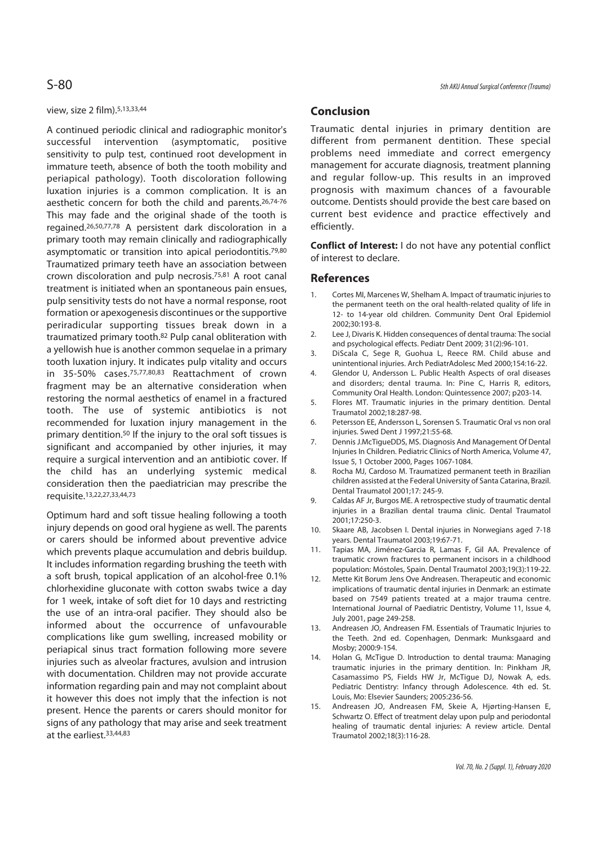#### view, size 2 film).5,13,33,44

A continued periodic clinical and radiographic monitor's successful intervention (asymptomatic, positive sensitivity to pulp test, continued root development in immature teeth, absence of both the tooth mobility and periapical pathology). Tooth discoloration following luxation injuries is a common complication. It is an aesthetic concern for both the child and parents.26,74-76 This may fade and the original shade of the tooth is regained.26,50,77,78 A persistent dark discoloration in a primary tooth may remain clinically and radiographically asymptomatic or transition into apical periodontitis.<sup>79,80</sup> Traumatized primary teeth have an association between crown discoloration and pulp necrosis.75,81 A root canal treatment is initiated when an spontaneous pain ensues, pulp sensitivity tests do not have a normal response, root formation or apexogenesis discontinues or the supportive periradicular supporting tissues break down in a traumatized primary tooth.82 Pulp canal obliteration with a yellowish hue is another common sequelae in a primary tooth luxation injury. It indicates pulp vitality and occurs in 35-50% cases.75,77,80,83 Reattachment of crown fragment may be an alternative consideration when restoring the normal aesthetics of enamel in a fractured tooth. The use of systemic antibiotics is not recommended for luxation injury management in the primary dentition.50 If the injury to the oral soft tissues is significant and accompanied by other injuries, it may require a surgical intervention and an antibiotic cover. If the child has an underlying systemic medical consideration then the paediatrician may prescribe the requisite.13,22,27,33,44,73

Optimum hard and soft tissue healing following a tooth injury depends on good oral hygiene as well. The parents or carers should be informed about preventive advice which prevents plaque accumulation and debris buildup. It includes information regarding brushing the teeth with a soft brush, topical application of an alcohol-free 0.1% chlorhexidine gluconate with cotton swabs twice a day for 1 week, intake of soft diet for 10 days and restricting the use of an intra-oral pacifier. They should also be informed about the occurrence of unfavourable complications like gum swelling, increased mobility or periapical sinus tract formation following more severe injuries such as alveolar fractures, avulsion and intrusion with documentation. Children may not provide accurate information regarding pain and may not complaint about it however this does not imply that the infection is not present. Hence the parents or carers should monitor for signs of any pathology that may arise and seek treatment at the earliest.33,44,83

#### **Conclusion**

Traumatic dental injuries in primary dentition are different from permanent dentition. These special problems need immediate and correct emergency management for accurate diagnosis, treatment planning and regular follow-up. This results in an improved prognosis with maximum chances of a favourable outcome. Dentists should provide the best care based on current best evidence and practice effectively and efficiently.

**Conflict of Interest:** I do not have any potential conflict of interest to declare.

#### **References**

- 1. Cortes MI, Marcenes W, Shelham A. Impact of traumatic injuries to the permanent teeth on the oral health-related quality of life in 12- to 14-year old children. Community Dent Oral Epidemiol 2002;30:193-8.
- 2. Lee J, Divaris K. Hidden consequences of dental trauma: The social and psychological effects. Pediatr Dent 2009; 31(2):96-101.
- 3. DiScala C, Sege R, Guohua L, Reece RM. Child abuse and unintentional injuries. Arch PediatrAdolesc Med 2000;154:16-22.
- 4. Glendor U, Andersson L. Public Health Aspects of oral diseases and disorders; dental trauma. In: Pine C, Harris R, editors, Community Oral Health. London: Quintessence 2007; p203-14.
- 5. Flores MT. Traumatic injuries in the primary dentition. Dental Traumatol 2002;18:287-98.
- 6. Petersson EE, Andersson L, Sorensen S. Traumatic Oral vs non oral injuries. Swed Dent J 1997;21:55-68.
- 7. Dennis J.McTigueDDS, MS. Diagnosis And Management Of Dental Injuries In Children. Pediatric Clinics of North America, Volume 47, Issue 5, 1 October 2000, Pages 1067-1084.
- 8. Rocha MJ, Cardoso M. Traumatized permanent teeth in Brazilian children assisted at the Federal University of Santa Catarina, Brazil. Dental Traumatol 2001;17: 245-9.
- 9. Caldas AF Jr, Burgos ME. A retrospective study of traumatic dental injuries in a Brazilian dental trauma clinic. Dental Traumatol 2001;17:250-3.
- 10. Skaare AB, Jacobsen I. Dental injuries in Norwegians aged 7-18 years. Dental Traumatol 2003;19:67-71.
- 11. Tapias MA, Jiménez-Garcia R, Lamas F, Gil AA. Prevalence of traumatic crown fractures to permanent incisors in a childhood population: Móstoles, Spain. Dental Traumatol 2003;19(3):119-22.
- 12. Mette Kit Borum Jens Ove Andreasen. Therapeutic and economic implications of traumatic dental injuries in Denmark: an estimate based on 7549 patients treated at a major trauma centre. International Journal of Paediatric Dentistry, Volume 11, Issue 4, July 2001, page 249-258.
- 13. Andreasen JO, Andreasen FM. Essentials of Traumatic Injuries to the Teeth. 2nd ed. Copenhagen, Denmark: Munksgaard and Mosby; 2000:9-154.
- 14. Holan G, McTigue D. Introduction to dental trauma: Managing traumatic injuries in the primary dentition. In: Pinkham JR, Casamassimo PS, Fields HW Jr, McTigue DJ, Nowak A, eds. Pediatric Dentistry: Infancy through Adolescence. 4th ed. St. Louis, Mo: Elsevier Saunders; 2005:236-56.
- 15. Andreasen JO, Andreasen FM, Skeie A, Hjørting-Hansen E, Schwartz O. Effect of treatment delay upon pulp and periodontal healing of traumatic dental injuries: A review article. Dental Traumatol 2002;18(3):116-28.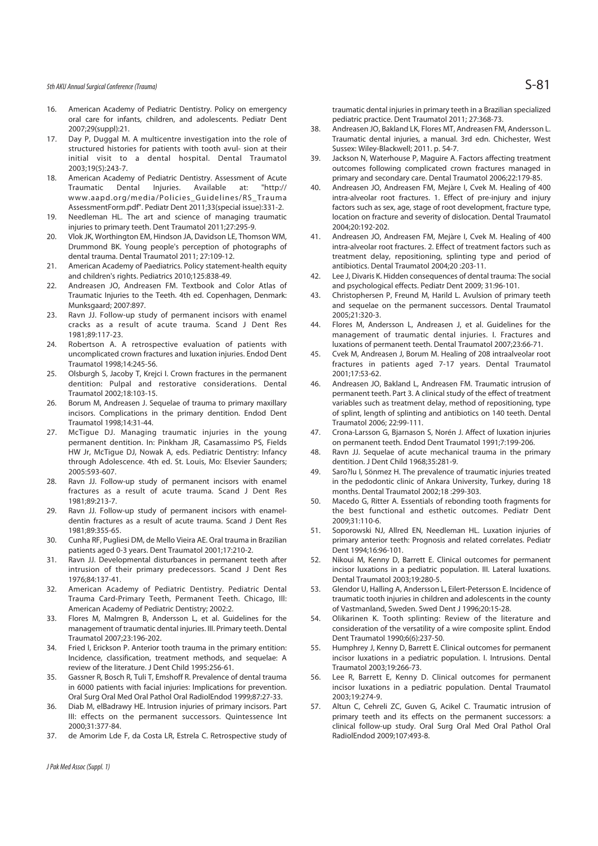### 5th AKU Annual Surgical Conference (Trauma)  $S-81$

- 16. American Academy of Pediatric Dentistry. Policy on emergency oral care for infants, children, and adolescents. Pediatr Dent 2007;29(suppl):21.
- 17. Day P, Duggal M, A multicentre investigation into the role of structured histories for patients with tooth avul- sion at their initial visit to a dental hospital. Dental Traumatol 2003;19(5):243-7.
- 18. American Academy of Pediatric Dentistry. Assessment of Acute Traumatic Dental Injuries. Available at: "http:// www.aapd.org/media/Policies\_Guidelines/RS\_Trauma AssessmentForm.pdf". Pediatr Dent 2011;33(special issue):331-2.
- 19. Needleman HL. The art and science of managing traumatic injuries to primary teeth. Dent Traumatol 2011;27:295-9.
- 20. Vlok JK, Worthington EM, Hindson JA, Davidson LE, Thomson WM, Drummond BK. Young people's perception of photographs of dental trauma. Dental Traumatol 2011; 27:109-12.
- 21. American Academy of Paediatrics. Policy statement-health equity and children's rights. Pediatrics 2010;125:838-49.
- 22. Andreasen JO, Andreasen FM. Textbook and Color Atlas of Traumatic Injuries to the Teeth. 4th ed. Copenhagen, Denmark: Munksgaard: 2007:897
- 23. Ravn JJ. Follow-up study of permanent incisors with enamel cracks as a result of acute trauma. Scand J Dent Res 1981;89:117-23.
- 24. Robertson A. A retrospective evaluation of patients with uncomplicated crown fractures and luxation injuries. Endod Dent Traumatol 1998;14:245-56.
- 25. Olsburgh S, Jacoby T, Krejci I. Crown fractures in the permanent dentition: Pulpal and restorative considerations. Dental Traumatol 2002;18:103-15.
- 26. Borum M, Andreasen J. Sequelae of trauma to primary maxillary incisors. Complications in the primary dentition. Endod Dent Traumatol 1998;14:31-44.
- 27. McTigue DJ. Managing traumatic injuries in the young permanent dentition. In: Pinkham JR, Casamassimo PS, Fields HW Jr, McTigue DJ, Nowak A, eds. Pediatric Dentistry: Infancy through Adolescence. 4th ed. St. Louis, Mo: Elsevier Saunders; 2005:593-607.
- 28. Ravn JJ. Follow-up study of permanent incisors with enamel fractures as a result of acute trauma. Scand J Dent Res 1981;89:213-7.
- 29. Ravn JJ. Follow-up study of permanent incisors with enameldentin fractures as a result of acute trauma. Scand J Dent Res 1981;89:355-65.
- 30. Cunha RF, Pugliesi DM, de Mello Vieira AE. Oral trauma in Brazilian patients aged 0-3 years. Dent Traumatol 2001;17:210-2.
- 31. Ravn JJ. Developmental disturbances in permanent teeth after intrusion of their primary predecessors. Scand J Dent Res 1976;84:137-41.
- 32. American Academy of Pediatric Dentistry. Pediatric Dental Trauma Card-Primary Teeth, Permanent Teeth. Chicago, Ill: American Academy of Pediatric Dentistry; 2002:2.
- 33. Flores M, Malmgren B, Andersson L, et al. Guidelines for the management of traumatic dental injuries. III. Primary teeth. Dental Traumatol 2007;23:196-202.
- 34. Fried I, Erickson P. Anterior tooth trauma in the primary entition: Incidence, classification, treatment methods, and sequelae: A review of the literature. J Dent Child 1995:256-61.
- 35. Gassner R, Bosch R, Tuli T, Emshoff R. Prevalence of dental trauma in 6000 patients with facial injuries: Implications for prevention. Oral Surg Oral Med Oral Pathol Oral RadiolEndod 1999;87:27-33.
- 36. Diab M, elBadrawy HE. Intrusion injuries of primary incisors. Part III: effects on the permanent successors. Quintessence Int 2000;31:377-84.
- 37. de Amorim Lde F, da Costa LR, Estrela C. Retrospective study of

J Pak Med Assoc (Suppl. 1)

traumatic dental injuries in primary teeth in a Brazilian specialized pediatric practice. Dent Traumatol 2011; 27:368-73.

- 38. Andreasen JO, Bakland LK, Flores MT, Andreasen FM, Andersson L. Traumatic dental injuries, a manual. 3rd edn. Chichester, West Sussex: Wiley-Blackwell; 2011. p. 54-7.
- 39. Jackson N, Waterhouse P, Maguire A. Factors affecting treatment outcomes following complicated crown fractures managed in primary and secondary care. Dental Traumatol 2006;22:179-85.
- 40. Andreasen JO, Andreasen FM, Mejàre I, Cvek M. Healing of 400 intra-alveolar root fractures. 1. Effect of pre-injury and injury factors such as sex, age, stage of root development, fracture type, location on fracture and severity of dislocation. Dental Traumatol 2004;20:192-202.
- 41. Andreasen JO, Andreasen FM, Mejàre I, Cvek M. Healing of 400 intra-alveolar root fractures. 2. Effect of treatment factors such as treatment delay, repositioning, splinting type and period of antibiotics. Dental Traumatol 2004;20 :203-11.
- 42. Lee J, Divaris K. Hidden consequences of dental trauma: The social and psychological effects. Pediatr Dent 2009; 31:96-101.
- 43. Christophersen P, Freund M, Harild L. Avulsion of primary teeth and sequelae on the permanent successors. Dental Traumatol 2005;21:320-3.
- 44. Flores M, Andersson L, Andreasen J, et al. Guidelines for the management of traumatic dental injuries. I. Fractures and luxations of permanent teeth. Dental Traumatol 2007;23:66-71.
- 45. Cvek M, Andreasen J, Borum M. Healing of 208 intraalveolar root fractures in patients aged 7-17 years. Dental Traumatol 2001;17:53-62.
- 46. Andreasen JO, Bakland L, Andreasen FM. Traumatic intrusion of permanent teeth. Part 3. A clinical study of the effect of treatment variables such as treatment delay, method of repositioning, type of splint, length of splinting and antibiotics on 140 teeth. Dental Traumatol 2006; 22:99-111.
- 47. Crona-Larsson G, Bjarnason S, Norén J. Affect of luxation injuries on permanent teeth. Endod Dent Traumatol 1991;7:199-206.
- 48. Ravn JJ. Sequelae of acute mechanical trauma in the primary dentition. J Dent Child 1968;35:281-9.
- 49. Saro?lu I, Sönmez H. The prevalence of traumatic injuries treated in the pedodontic clinic of Ankara University, Turkey, during 18 months. Dental Traumatol 2002;18 :299-303.
- 50. Macedo G, Ritter A. Essentials of rebonding tooth fragments for the best functional and esthetic outcomes. Pediatr Dent 2009;31:110-6.
- 51. Soporowski NJ, Allred EN, Needleman HL. Luxation injuries of primary anterior teeth: Prognosis and related correlates. Pediatr Dent 1994;16:96-101.
- 52. Nikoui M, Kenny D, Barrett E. Clinical outcomes for permanent incisor luxations in a pediatric population. III. Lateral luxations. Dental Traumatol 2003;19:280-5.
- 53. Glendor U, Halling A, Andersson L, Eilert-Petersson E. Incidence of traumatic tooth injuries in children and adolescents in the county of Vastmanland, Sweden. Swed Dent J 1996;20:15-28.
- 54. Olikarinen K. Tooth splinting: Review of the literature and consideration of the versatility of a wire composite splint. Endod Dent Traumatol 1990;6(6):237-50.
- 55. Humphrey J, Kenny D, Barrett E. Clinical outcomes for permanent incisor luxations in a pediatric population. I. Intrusions. Dental Traumatol 2003;19:266-73.
- 56. Lee R, Barrett E, Kenny D. Clinical outcomes for permanent incisor luxations in a pediatric population. Dental Traumatol 2003;19:274-9.
- 57. Altun C, Cehreli ZC, Guven G, Acikel C. Traumatic intrusion of primary teeth and its effects on the permanent successors: a clinical follow-up study. Oral Surg Oral Med Oral Pathol Oral RadiolEndod 2009;107:493-8.